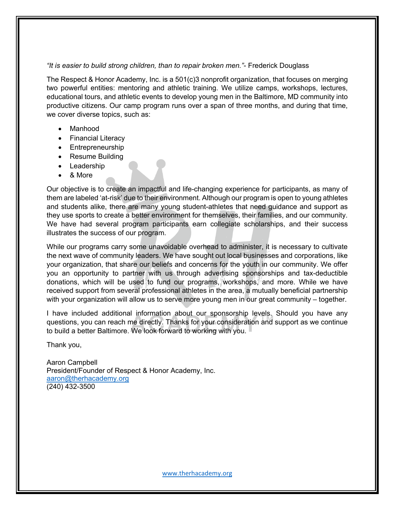## *"It is easier to build strong children, than to repair broken men."*- Frederick Douglass

The Respect & Honor Academy, Inc. is a 501(c)3 nonprofit organization, that focuses on merging two powerful entities: mentoring and athletic training. We utilize camps, workshops, lectures, educational tours, and athletic events to develop young men in the Baltimore, MD community into productive citizens. Our camp program runs over a span of three months, and during that time, we cover diverse topics, such as:

- Manhood
- Financial Literacy
- Entrepreneurship
- Resume Building
- Leadership
- & More

Our objective is to create an impactful and life-changing experience for participants, as many of them are labeled 'at-risk' due to their environment. Although our program is open to young athletes and students alike, there are many young student-athletes that need guidance and support as they use sports to create a better environment for themselves, their families, and our community. We have had several program participants earn collegiate scholarships, and their success illustrates the success of our program.

While our programs carry some unavoidable overhead to administer, it is necessary to cultivate the next wave of community leaders. We have sought out local businesses and corporations, like your organization, that share our beliefs and concerns for the youth in our community. We offer you an opportunity to partner with us through advertising sponsorships and tax-deductible donations, which will be used to fund our programs, workshops, and more. While we have received support from several professional athletes in the area, a mutually beneficial partnership with your organization will allow us to serve more young men in our great community – together.

I have included additional information about our sponsorship levels. Should you have any questions, you can reach me directly. Thanks for your consideration and support as we continue to build a better Baltimore. We look forward to working with you.

Thank you,

Aaron Campbell President/Founder of Respect & Honor Academy, Inc. aaron@therhacademy.org (240) 432-3500

www.therhacademy.org